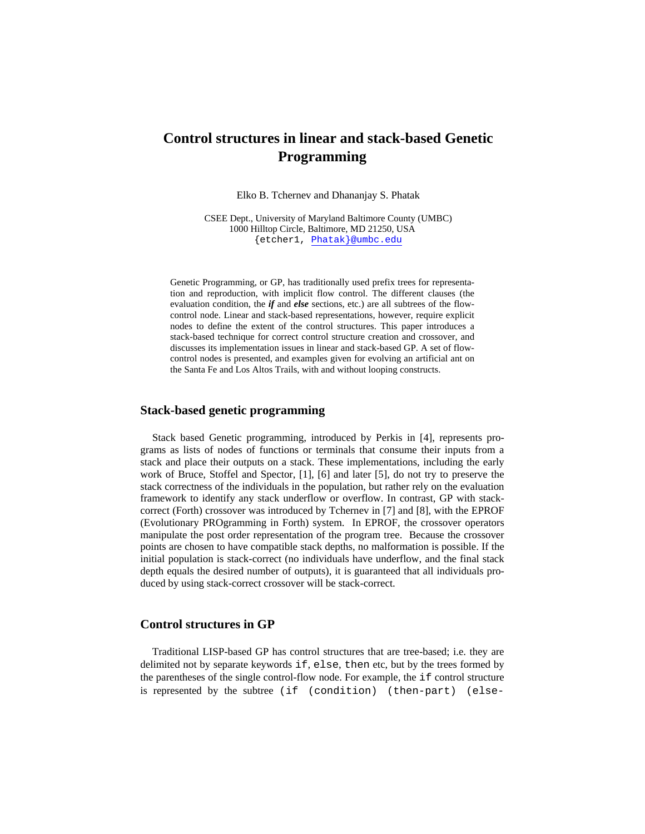# **Control structures in linear and stack-based Genetic Programming**

Elko B. Tchernev and Dhananjay S. Phatak

CSEE Dept., University of Maryland Baltimore County (UMBC) 1000 Hilltop Circle, Baltimore, MD 21250, USA {etcher1, Phatak}@umbc.edu

Genetic Programming, or GP, has traditionally used prefix trees for representation and reproduction, with implicit flow control. The different clauses (the evaluation condition, the *if* and *else* sections, etc.) are all subtrees of the flowcontrol node. Linear and stack-based representations, however, require explicit nodes to define the extent of the control structures. This paper introduces a stack-based technique for correct control structure creation and crossover, and discusses its implementation issues in linear and stack-based GP. A set of flowcontrol nodes is presented, and examples given for evolving an artificial ant on the Santa Fe and Los Altos Trails, with and without looping constructs.

#### **Stack-based genetic programming**

Stack based Genetic programming, introduced by Perkis in [4], represents programs as lists of nodes of functions or terminals that consume their inputs from a stack and place their outputs on a stack. These implementations, including the early work of Bruce, Stoffel and Spector, [1], [6] and later [5], do not try to preserve the stack correctness of the individuals in the population, but rather rely on the evaluation framework to identify any stack underflow or overflow. In contrast, GP with stackcorrect (Forth) crossover was introduced by Tchernev in [7] and [8], with the EPROF (Evolutionary PROgramming in Forth) system. In EPROF, the crossover operators manipulate the post order representation of the program tree. Because the crossover points are chosen to have compatible stack depths, no malformation is possible. If the initial population is stack-correct (no individuals have underflow, and the final stack depth equals the desired number of outputs), it is guaranteed that all individuals produced by using stack-correct crossover will be stack-correct.

# **Control structures in GP**

Traditional LISP-based GP has control structures that are tree-based; i.e. they are delimited not by separate keywords if, else, then etc, but by the trees formed by the parentheses of the single control-flow node. For example, the if control structure is represented by the subtree (if (condition) (then-part) (else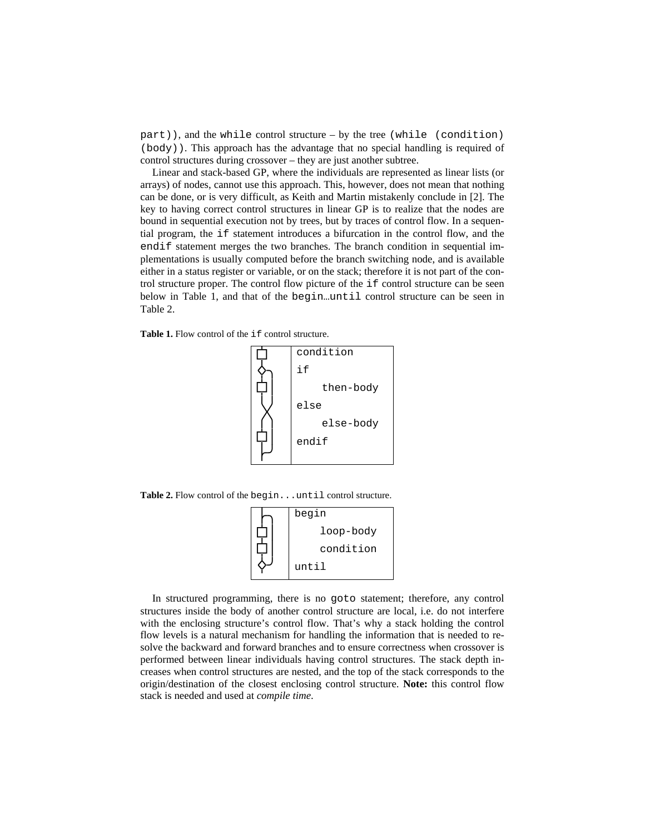$part)$ ), and the while control structure – by the tree (while (condition) (body)). This approach has the advantage that no special handling is required of control structures during crossover – they are just another subtree.

Linear and stack-based GP, where the individuals are represented as linear lists (or arrays) of nodes, cannot use this approach. This, however, does not mean that nothing can be done, or is very difficult, as Keith and Martin mistakenly conclude in [2]. The key to having correct control structures in linear GP is to realize that the nodes are bound in sequential execution not by trees, but by traces of control flow. In a sequential program, the if statement introduces a bifurcation in the control flow, and the endif statement merges the two branches. The branch condition in sequential implementations is usually computed before the branch switching node, and is available either in a status register or variable, or on the stack; therefore it is not part of the control structure proper. The control flow picture of the if control structure can be seen below in Table 1, and that of the begin…until control structure can be seen in Table 2.

Table 1. Flow control of the *if* control structure.



Table 2. Flow control of the begin...until control structure.

| begin     |
|-----------|
| loop-body |
| condition |
| until     |

In structured programming, there is no goto statement; therefore, any control structures inside the body of another control structure are local, i.e. do not interfere with the enclosing structure's control flow. That's why a stack holding the control flow levels is a natural mechanism for handling the information that is needed to resolve the backward and forward branches and to ensure correctness when crossover is performed between linear individuals having control structures. The stack depth increases when control structures are nested, and the top of the stack corresponds to the origin/destination of the closest enclosing control structure. **Note:** this control flow stack is needed and used at *compile time*.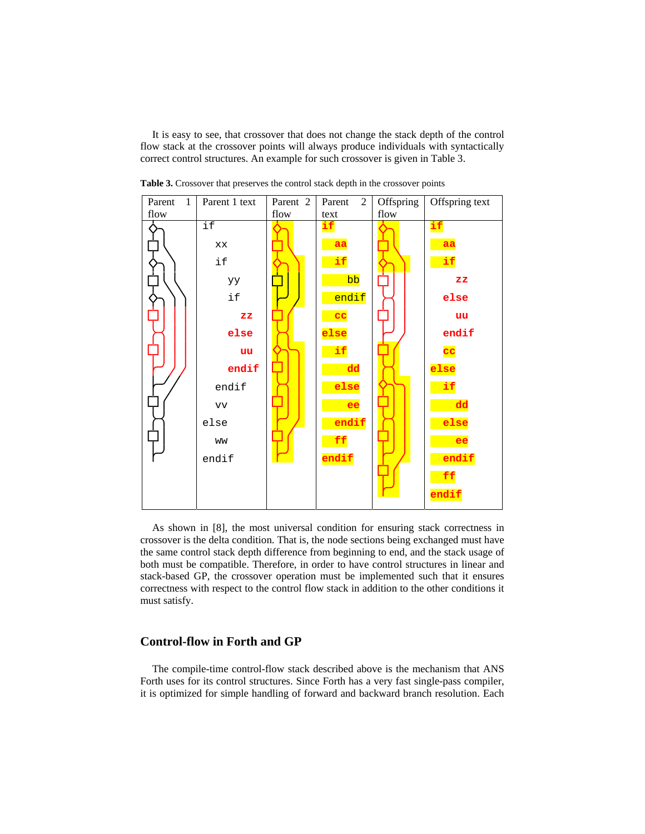It is easy to see, that crossover that does not change the stack depth of the control flow stack at the crossover points will always produce individuals with syntactically correct control structures. An example for such crossover is given in Table 3.



**Table 3.** Crossover that preserves the control stack depth in the crossover points

As shown in [8], the most universal condition for ensuring stack correctness in crossover is the delta condition. That is, the node sections being exchanged must have the same control stack depth difference from beginning to end, and the stack usage of both must be compatible. Therefore, in order to have control structures in linear and stack-based GP, the crossover operation must be implemented such that it ensures correctness with respect to the control flow stack in addition to the other conditions it must satisfy.

## **Control-flow in Forth and GP**

The compile-time control-flow stack described above is the mechanism that ANS Forth uses for its control structures. Since Forth has a very fast single-pass compiler, it is optimized for simple handling of forward and backward branch resolution. Each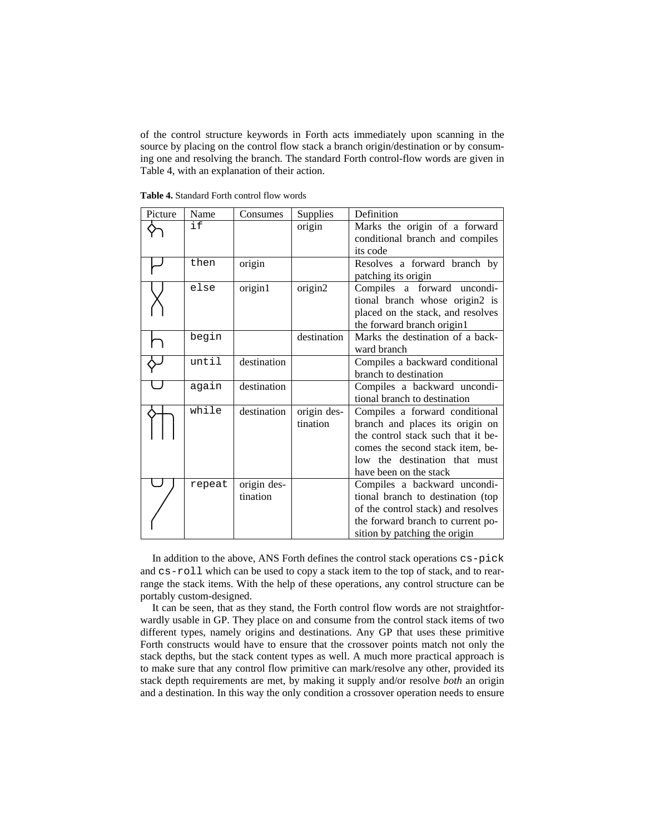of the control structure keywords in Forth acts immediately upon scanning in the source by placing on the control flow stack a branch origin/destination or by consuming one and resolving the branch. The standard Forth control-flow words are given in Table 4, with an explanation of their action.

| Picture | Name   | Consumes    | Supplies    | Definition                         |  |
|---------|--------|-------------|-------------|------------------------------------|--|
|         | if     |             | origin      | Marks the origin of a forward      |  |
|         |        |             |             | conditional branch and compiles    |  |
|         |        |             |             | its code                           |  |
|         | then   | origin      |             | Resolves a forward branch by       |  |
|         |        |             |             | patching its origin                |  |
|         | else   | origin1     | origin2     | Compiles a forward uncondi-        |  |
|         |        |             |             | tional branch whose origin2 is     |  |
|         |        |             |             | placed on the stack, and resolves  |  |
|         |        |             |             | the forward branch origin1         |  |
|         | begin  |             | destination | Marks the destination of a back-   |  |
|         |        |             |             | ward branch                        |  |
|         | until  | destination |             | Compiles a backward conditional    |  |
|         |        |             |             | branch to destination              |  |
|         | again  | destination |             | Compiles a backward uncondi-       |  |
|         |        |             |             | tional branch to destination       |  |
|         | while  | destination | origin des- | Compiles a forward conditional     |  |
|         |        |             | tination    | branch and places its origin on    |  |
|         |        |             |             | the control stack such that it be- |  |
|         |        |             |             | comes the second stack item, be-   |  |
|         |        |             |             | low the destination that must      |  |
|         |        |             |             | have been on the stack             |  |
|         | repeat | origin des- |             | Compiles a backward uncondi-       |  |
|         |        | tination    |             | tional branch to destination (top  |  |
|         |        |             |             | of the control stack) and resolves |  |
|         |        |             |             | the forward branch to current po-  |  |
|         |        |             |             | sition by patching the origin      |  |

**Table 4.** Standard Forth control flow words

In addition to the above, ANS Forth defines the control stack operations cs-pick and cs-roll which can be used to copy a stack item to the top of stack, and to rearrange the stack items. With the help of these operations, any control structure can be portably custom-designed.

It can be seen, that as they stand, the Forth control flow words are not straightforwardly usable in GP. They place on and consume from the control stack items of two different types, namely origins and destinations. Any GP that uses these primitive Forth constructs would have to ensure that the crossover points match not only the stack depths, but the stack content types as well. A much more practical approach is to make sure that any control flow primitive can mark/resolve any other, provided its stack depth requirements are met, by making it supply and/or resolve *both* an origin and a destination. In this way the only condition a crossover operation needs to ensure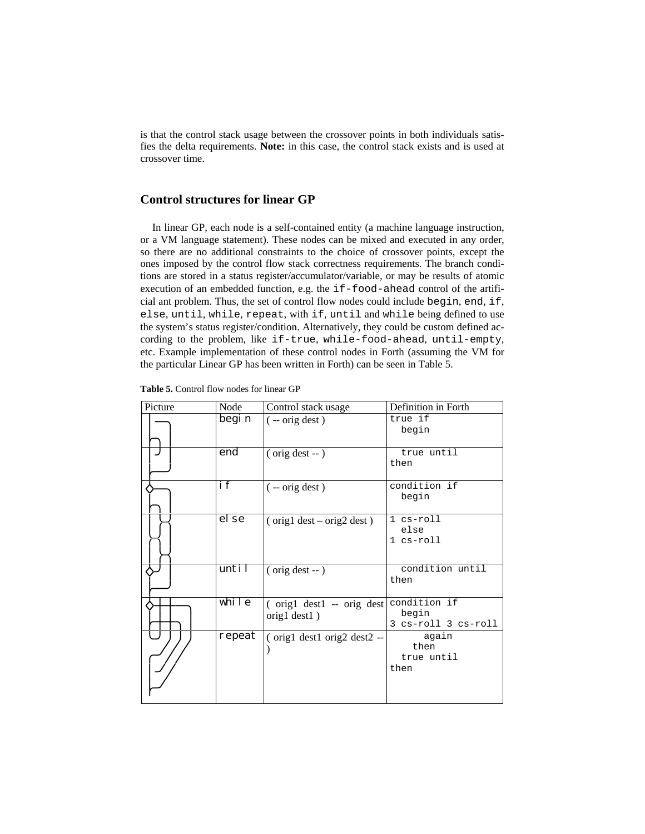is that the control stack usage between the crossover points in both individuals satisfies the delta requirements. **Note:** in this case, the control stack exists and is used at crossover time.

# **Control structures for linear GP**

In linear GP, each node is a self-contained entity (a machine language instruction, or a VM language statement). These nodes can be mixed and executed in any order, so there are no additional constraints to the choice of crossover points, except the ones imposed by the control flow stack correctness requirements. The branch conditions are stored in a status register/accumulator/variable, or may be results of atomic execution of an embedded function, e.g. the if-food-ahead control of the artificial ant problem. Thus, the set of control flow nodes could include begin, end, if, else, until, while, repeat, with if, until and while being defined to use the system's status register/condition. Alternatively, they could be custom defined according to the problem, like if-true, while-food-ahead, until-empty, etc. Example implementation of these control nodes in Forth (assuming the VM for the particular Linear GP has been written in Forth) can be seen in Table 5.

| Picture | Node   | Control stack usage                                  | Definition in Forth                          |
|---------|--------|------------------------------------------------------|----------------------------------------------|
|         | begi n | $(-$ orig dest)                                      | true if<br>begin                             |
|         | end    | (orig dest -- )                                      | true until<br>then                           |
|         | i f    | $(-$ orig dest)                                      | condition if<br>begin                        |
|         | el se  | $\frac{\text{orig1}}{\text{dest}-\text{orig2}}$ dest | 1 cs-roll<br>else<br>1 cs-roll               |
|         | until  | $($ orig dest $-$ )                                  | condition until<br>then                      |
|         | while  | $\int$ orig1 dest1 -- orig dest<br>orig1 dest1)      | condition if<br>begin<br>3 cs-roll 3 cs-roll |
|         | repeat | (orig1 dest1 orig2 dest2 --                          | again<br>then<br>true until<br>then          |

**Table 5.** Control flow nodes for linear GP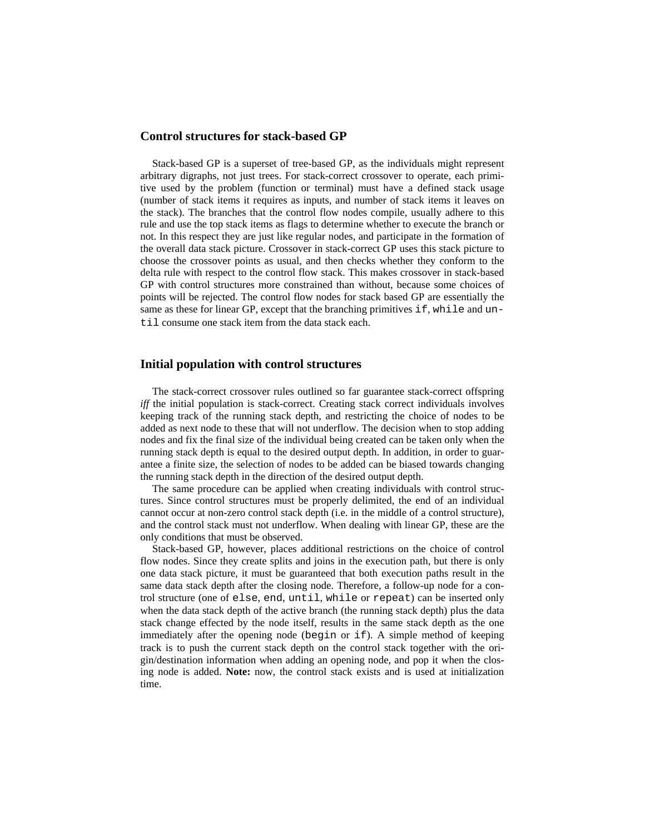#### **Control structures for stack-based GP**

Stack-based GP is a superset of tree-based GP, as the individuals might represent arbitrary digraphs, not just trees. For stack-correct crossover to operate, each primitive used by the problem (function or terminal) must have a defined stack usage (number of stack items it requires as inputs, and number of stack items it leaves on the stack). The branches that the control flow nodes compile, usually adhere to this rule and use the top stack items as flags to determine whether to execute the branch or not. In this respect they are just like regular nodes, and participate in the formation of the overall data stack picture. Crossover in stack-correct GP uses this stack picture to choose the crossover points as usual, and then checks whether they conform to the delta rule with respect to the control flow stack. This makes crossover in stack-based GP with control structures more constrained than without, because some choices of points will be rejected. The control flow nodes for stack based GP are essentially the same as these for linear GP, except that the branching primitives  $if$ , while and until consume one stack item from the data stack each.

# **Initial population with control structures**

The stack-correct crossover rules outlined so far guarantee stack-correct offspring *iff* the initial population is stack-correct. Creating stack correct individuals involves keeping track of the running stack depth, and restricting the choice of nodes to be added as next node to these that will not underflow. The decision when to stop adding nodes and fix the final size of the individual being created can be taken only when the running stack depth is equal to the desired output depth. In addition, in order to guarantee a finite size, the selection of nodes to be added can be biased towards changing the running stack depth in the direction of the desired output depth.

The same procedure can be applied when creating individuals with control structures. Since control structures must be properly delimited, the end of an individual cannot occur at non-zero control stack depth (i.e. in the middle of a control structure), and the control stack must not underflow. When dealing with linear GP, these are the only conditions that must be observed.

Stack-based GP, however, places additional restrictions on the choice of control flow nodes. Since they create splits and joins in the execution path, but there is only one data stack picture, it must be guaranteed that both execution paths result in the same data stack depth after the closing node. Therefore, a follow-up node for a control structure (one of else, end, until, while or repeat) can be inserted only when the data stack depth of the active branch (the running stack depth) plus the data stack change effected by the node itself, results in the same stack depth as the one immediately after the opening node (begin or if). A simple method of keeping track is to push the current stack depth on the control stack together with the origin/destination information when adding an opening node, and pop it when the closing node is added. **Note:** now, the control stack exists and is used at initialization time.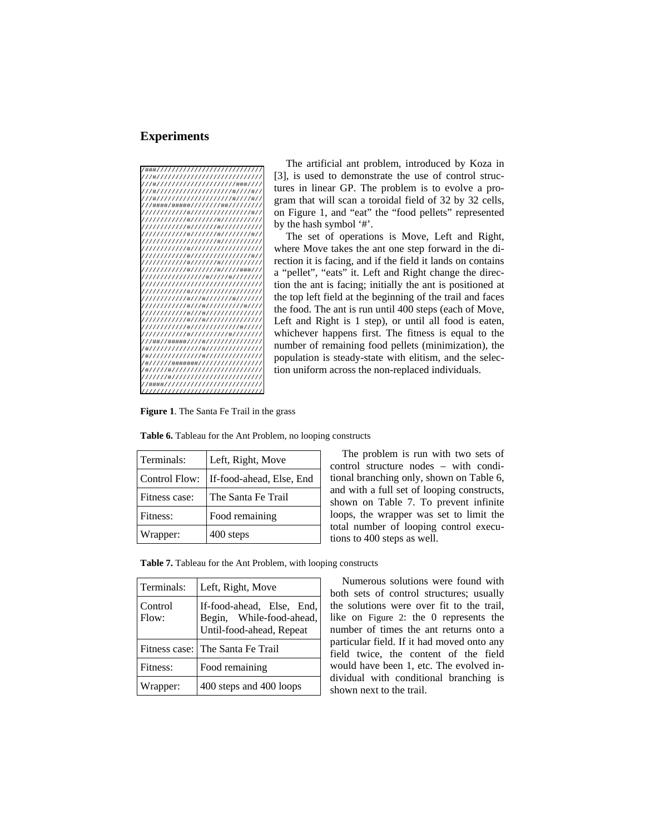## **Experiments**

| /###//////////////////////////////                |
|---------------------------------------------------|
| ///#/////////////////////////////                 |
| //#//////////////////////###///                   |
| //#/////////////////////#////#//                  |
| //#/////////////////////#////#//                  |
| //####/#####////////##////////                    |
| ///////////#/////////////////#//                  |
| ///////////#//////#////////////                   |
| ///////////#//////#//////////                     |
| ///////////#//////#////////#/                     |
| ///////////////////#/////////                     |
| ///////////#//////////////////                    |
| ///////////#/////////////////#//                  |
| ///////////#//////#///////////                    |
| ///////////#//////#//////####//                   |
| ////////////////#////#///////                     |
| ///////////////////////////////                   |
| ///////////#//////////////////                    |
| ///////////#///#///////#/////                     |
| ///////////#///#///////////#///                   |
| ///////////#///#///////////////                   |
| ///////////#///#///////////////                   |
| ///////////#/////////////#///                     |
| ///////////#/////////#///////                     |
| //##//#####////#//////////////                    |
| /#//////////////#///////////////                  |
| /#//////////////#//////////////                   |
| /#//////#######///////////////                    |
| /#/////#////////////////////                      |
| ///////////////<br>$1111$ #11                     |
| /####///////////////////                          |
| ///////<br>///////////<br>111<br>7<br>7<br>7<br>7 |

The artificial ant problem, introduced by Koza in [3], is used to demonstrate the use of control structures in linear GP. The problem is to evolve a program that will scan a toroidal field of 32 by 32 cells, on Figure 1, and "eat" the "food pellets" represented by the hash symbol '#'.

The set of operations is Move, Left and Right, where Move takes the ant one step forward in the direction it is facing, and if the field it lands on contains a "pellet", "eats" it. Left and Right change the direction the ant is facing; initially the ant is positioned at the top left field at the beginning of the trail and faces the food. The ant is run until 400 steps (each of Move, Left and Right is 1 step), or until all food is eaten, whichever happens first. The fitness is equal to the number of remaining food pellets (minimization), the population is steady-state with elitism, and the selection uniform across the non-replaced individuals.

**Figure 1**. The Santa Fe Trail in the grass

| Terminals:           | Left, Right, Move        |
|----------------------|--------------------------|
| <b>Control Flow:</b> | If-food-ahead, Else, End |
| Fitness case:        | The Santa Fe Trail       |
| Fitness:             | Food remaining           |
| Wrapper:             | 400 steps                |

**Table 6.** Tableau for the Ant Problem, no looping constructs

The problem is run with two sets of control structure nodes – with conditional branching only, shown on Table 6, and with a full set of looping constructs, shown on Table 7. To prevent infinite loops, the wrapper was set to limit the total number of looping control executions to 400 steps as well.

**Table 7.** Tableau for the Ant Problem, with looping constructs

| Terminals:       | Left, Right, Move                                                                 |
|------------------|-----------------------------------------------------------------------------------|
| Control<br>Flow: | If-food-ahead, Else, End,<br>Begin, While-food-ahead,<br>Until-food-ahead, Repeat |
|                  | Fitness case: The Santa Fe Trail                                                  |
| Fitness:         | Food remaining                                                                    |
| Wrapper:         | 400 steps and 400 loops                                                           |

Numerous solutions were found with both sets of control structures; usually the solutions were over fit to the trail, like on Figure 2: the 0 represents the number of times the ant returns onto a particular field. If it had moved onto any field twice, the content of the field would have been 1, etc. The evolved individual with conditional branching is shown next to the trail.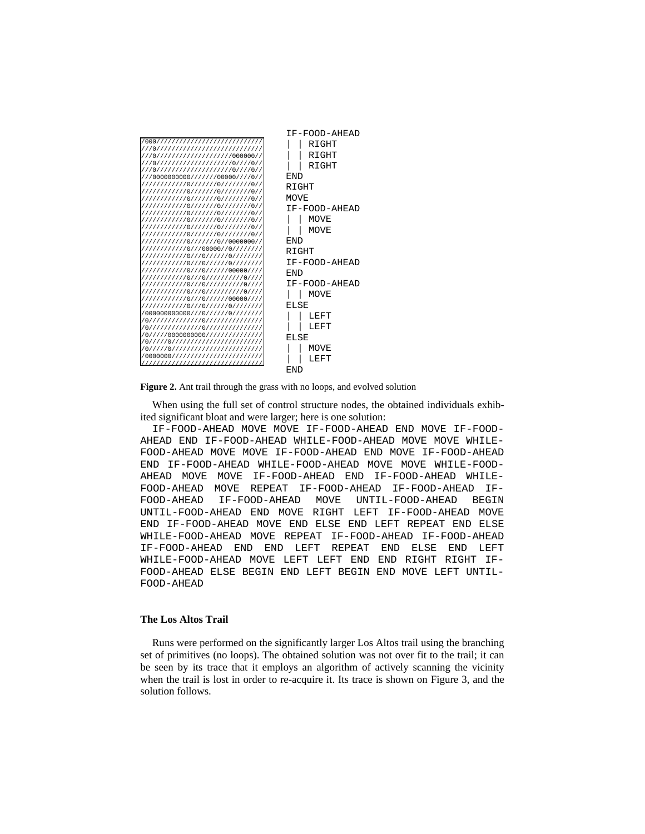|                                                                             | IF-FOOD-AHEAD |
|-----------------------------------------------------------------------------|---------------|
| 7000/////////////////////////////////                                       | RIGHT         |
| ///0/////////////////////////////////<br>///0//////////////////////000000// | RIGHT         |
| ///0//////////////////////0///0//                                           | RIGHT         |
| ///0//////////////////////0///0//                                           |               |
| ///0000000000//////00000////0//                                             | <b>FND</b>    |
| /////////////0///////0/////////0//                                          | R T GHT       |
|                                                                             | MOVE          |
|                                                                             | IF-FOOD-AHEAD |
|                                                                             | MOVE          |
|                                                                             |               |
|                                                                             | MOVE          |
| /////////////0///////0//0000000//                                           | <b>FND</b>    |
| /////////////0///00000//0////////                                           | RIGHT         |
| ////////////0///0//////0//////<br>/////////////0///0//////0////////         | TF-FOOD-AHEAD |
| /////////////0///0//////00000////                                           |               |
| ////////////0///0//////////0////                                            | <b>END</b>    |
| ////////////0///0///////////0////                                           | IF-FOOD-AHEAD |
| ////////////0///0//////////0////                                            | MOVE          |
| /////////////0///0//////00000////<br>/////////////0///0//////0////////      | ELSE          |
| 1/000000000000///0//////0////////                                           | LEFT          |
| 1/0///////////////0////////////////                                         |               |
| /0///////////////0////////////////                                          | LEFT          |
| /0////0000000000//////////////                                              | ELSE          |
| /0/////0///////////////////////////<br>/0/////0///////////////////////////  | MOVE          |
| /0000000//////////////////////////                                          | LEFT          |
| ////////////////////////                                                    |               |
|                                                                             | <b>FND</b>    |

**Figure 2.** Ant trail through the grass with no loops, and evolved solution

When using the full set of control structure nodes, the obtained individuals exhibited significant bloat and were larger; here is one solution:

IF-FOOD-AHEAD MOVE MOVE IF-FOOD-AHEAD END MOVE IF-FOOD-AHEAD END IF-FOOD-AHEAD WHILE-FOOD-AHEAD MOVE MOVE WHILE-FOOD-AHEAD MOVE MOVE IF-FOOD-AHEAD END MOVE IF-FOOD-AHEAD END IF-FOOD-AHEAD WHILE-FOOD-AHEAD MOVE MOVE WHILE-FOOD-AHEAD MOVE MOVE IF-FOOD-AHEAD END IF-FOOD-AHEAD WHILE-FOOD-AHEAD MOVE REPEAT IF-FOOD-AHEAD IF-FOOD-AHEAD IF-FOOD-AHEAD IF-FOOD-AHEAD MOVE UNTIL-FOOD-AHEAD BEGIN UNTIL-FOOD-AHEAD END MOVE RIGHT LEFT IF-FOOD-AHEAD MOVE END IF-FOOD-AHEAD MOVE END ELSE END LEFT REPEAT END ELSE WHILE-FOOD-AHEAD MOVE REPEAT IF-FOOD-AHEAD IF-FOOD-AHEAD IF-FOOD-AHEAD END END LEFT REPEAT END ELSE END LEFT WHILE-FOOD-AHEAD MOVE LEFT LEFT END END RIGHT RIGHT IF-FOOD-AHEAD ELSE BEGIN END LEFT BEGIN END MOVE LEFT UNTIL-FOOD-AHEAD

#### **The Los Altos Trail**

Runs were performed on the significantly larger Los Altos trail using the branching set of primitives (no loops). The obtained solution was not over fit to the trail; it can be seen by its trace that it employs an algorithm of actively scanning the vicinity when the trail is lost in order to re-acquire it. Its trace is shown on Figure 3, and the solution follows.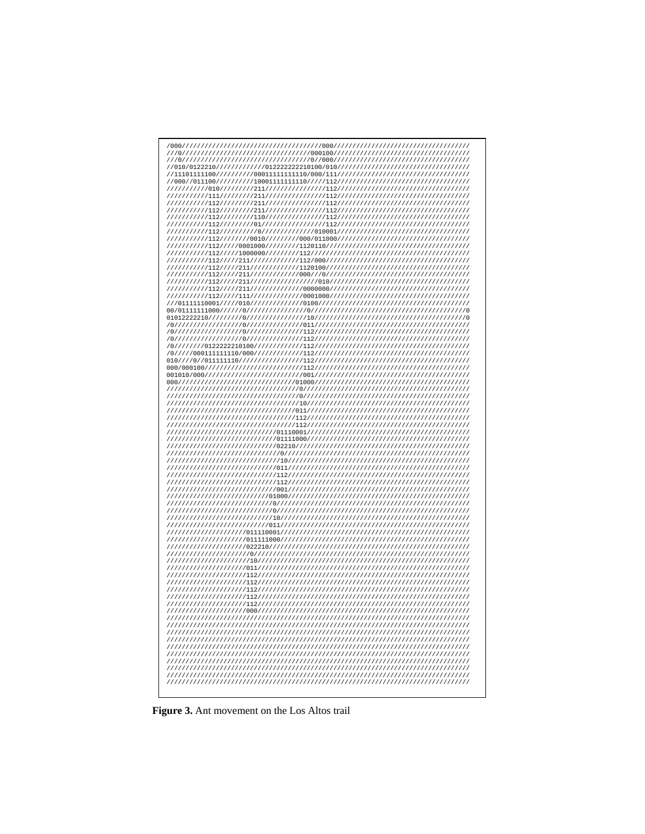| 2// |  |  |
|-----|--|--|
|     |  |  |
|     |  |  |
|     |  |  |
|     |  |  |
|     |  |  |
|     |  |  |
|     |  |  |
|     |  |  |
|     |  |  |
|     |  |  |
|     |  |  |
|     |  |  |

Figure 3. Ant movement on the Los Altos trail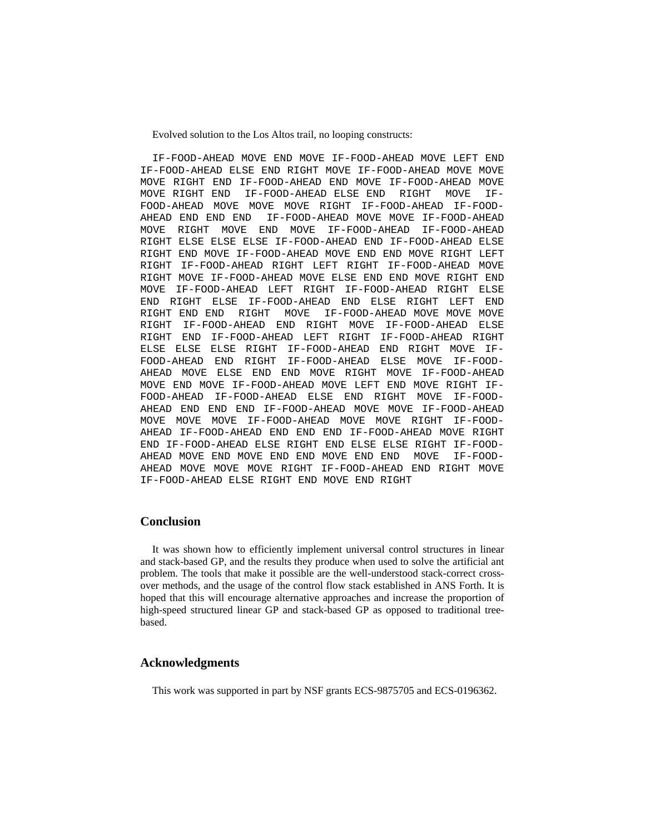Evolved solution to the Los Altos trail, no looping constructs:

IF-FOOD-AHEAD MOVE END MOVE IF-FOOD-AHEAD MOVE LEFT END IF-FOOD-AHEAD ELSE END RIGHT MOVE IF-FOOD-AHEAD MOVE MOVE MOVE RIGHT END IF-FOOD-AHEAD END MOVE IF-FOOD-AHEAD MOVE MOVE RIGHT END IF-FOOD-AHEAD ELSE END RIGHT MOVE IF-FOOD-AHEAD MOVE MOVE MOVE RIGHT IF-FOOD-AHEAD IF-FOOD-AHEAD END END END IF-FOOD-AHEAD MOVE MOVE IF-FOOD-AHEAD MOVE RIGHT MOVE END MOVE IF-FOOD-AHEAD IF-FOOD-AHEAD RIGHT ELSE ELSE ELSE IF-FOOD-AHEAD END IF-FOOD-AHEAD ELSE RIGHT END MOVE IF-FOOD-AHEAD MOVE END END MOVE RIGHT LEFT RIGHT IF-FOOD-AHEAD RIGHT LEFT RIGHT IF-FOOD-AHEAD MOVE RIGHT MOVE IF-FOOD-AHEAD MOVE ELSE END END MOVE RIGHT END MOVE IF-FOOD-AHEAD LEFT RIGHT IF-FOOD-AHEAD RIGHT ELSE END RIGHT ELSE IF-FOOD-AHEAD END ELSE RIGHT LEFT END RIGHT END END RIGHT MOVE IF-FOOD-AHEAD MOVE MOVE MOVE RIGHT IF-FOOD-AHEAD END RIGHT MOVE IF-FOOD-AHEAD ELSE RIGHT END IF-FOOD-AHEAD LEFT RIGHT IF-FOOD-AHEAD RIGHT ELSE ELSE ELSE RIGHT IF-FOOD-AHEAD END RIGHT MOVE IF-FOOD-AHEAD END RIGHT IF-FOOD-AHEAD ELSE MOVE IF-FOOD-AHEAD MOVE ELSE END END MOVE RIGHT MOVE IF-FOOD-AHEAD MOVE END MOVE IF-FOOD-AHEAD MOVE LEFT END MOVE RIGHT IF-FOOD-AHEAD IF-FOOD-AHEAD ELSE END RIGHT MOVE IF-FOOD-AHEAD END END END IF-FOOD-AHEAD MOVE MOVE IF-FOOD-AHEAD MOVE MOVE MOVE IF-FOOD-AHEAD MOVE MOVE RIGHT IF-FOOD-AHEAD IF-FOOD-AHEAD END END END IF-FOOD-AHEAD MOVE RIGHT END IF-FOOD-AHEAD ELSE RIGHT END ELSE ELSE RIGHT IF-FOOD-AHEAD MOVE END MOVE END END MOVE END END MOVE IF-FOOD-AHEAD MOVE MOVE MOVE RIGHT IF-FOOD-AHEAD END RIGHT MOVE IF-FOOD-AHEAD ELSE RIGHT END MOVE END RIGHT

#### **Conclusion**

It was shown how to efficiently implement universal control structures in linear and stack-based GP, and the results they produce when used to solve the artificial ant problem. The tools that make it possible are the well-understood stack-correct crossover methods, and the usage of the control flow stack established in ANS Forth. It is hoped that this will encourage alternative approaches and increase the proportion of high-speed structured linear GP and stack-based GP as opposed to traditional treebased.

#### **Acknowledgments**

This work was supported in part by NSF grants ECS-9875705 and ECS-0196362.